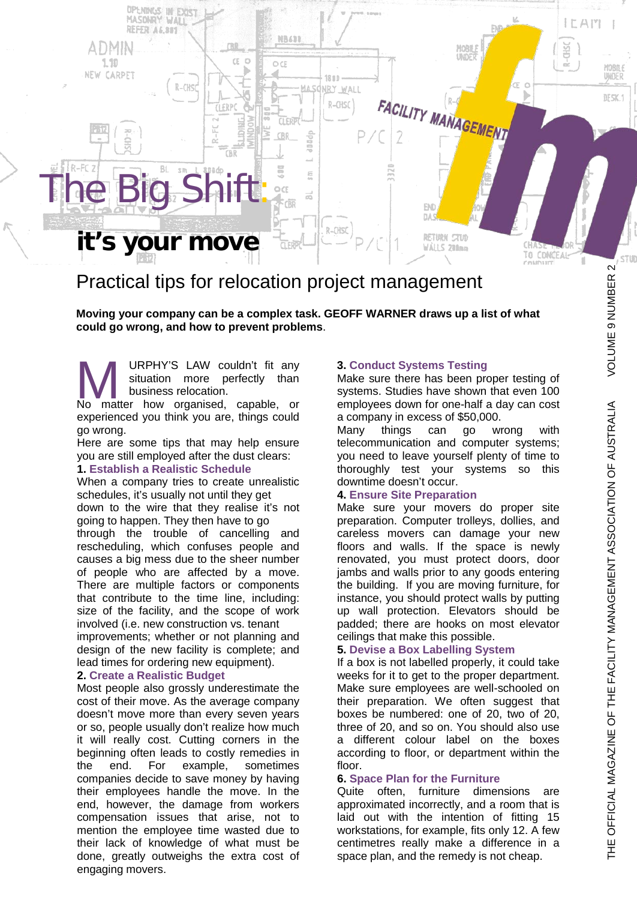

# Practical tips for relocation project management

**Moving your company can be a complex task. GEOFF WARNER draws up a list of what could go wrong, and how to prevent problems**.

URPHY'S LAW couldn't fit any situation more perfectly than business relocation. URPHY'S LAW couldn't fit any<br>situation more perfectly than<br>No matter how organised, capable, or

experienced you think you are, things could go wrong.

Here are some tips that may help ensure you are still employed after the dust clears: **1. Establish a Realistic Schedule**

When a company tries to create unrealistic

schedules, it's usually not until they get down to the wire that they realise it's not

going to happen. They then have to go through the trouble of cancelling and rescheduling, which confuses people and causes a big mess due to the sheer number of people who are affected by a move. There are multiple factors or components that contribute to the time line, including: size of the facility, and the scope of work involved (i.e. new construction vs. tenant improvements; whether or not planning and design of the new facility is complete; and lead times for ordering new equipment).

## **2. Create a Realistic Budget**

Most people also grossly underestimate the cost of their move. As the average company doesn't move more than every seven years or so, people usually don't realize how much it will really cost. Cutting corners in the beginning often leads to costly remedies in the end. For example, sometimes companies decide to save money by having their employees handle the move. In the end, however, the damage from workers compensation issues that arise, not to mention the employee time wasted due to their lack of knowledge of what must be done, greatly outweighs the extra cost of engaging movers.

#### **3. Conduct Systems Testing**

Make sure there has been proper testing of systems. Studies have shown that even 100 employees down for one-half a day can cost a company in excess of \$50,000.

Many things can go wrong with telecommunication and computer systems; you need to leave yourself plenty of time to thoroughly test your systems so this downtime doesn't occur.

#### **4. Ensure Site Preparation**

Make sure your movers do proper site preparation. Computer trolleys, dollies, and careless movers can damage your new floors and walls. If the space is newly renovated, you must protect doors, door jambs and walls prior to any goods entering the building. If you are moving furniture, for instance, you should protect walls by putting up wall protection. Elevators should be padded; there are hooks on most elevator ceilings that make this possible.

## **5. Devise a Box Labelling System**

If a box is not labelled properly, it could take weeks for it to get to the proper department. Make sure employees are well-schooled on their preparation. We often suggest that boxes be numbered: one of 20, two of 20, three of 20, and so on. You should also use a different colour label on the boxes according to floor, or department within the floor.

# **6. Space Plan for the Furniture**

Quite often, furniture dimensions are approximated incorrectly, and a room that is laid out with the intention of fitting 15 workstations, for example, fits only 12. A few centimetres really make a difference in a space plan, and the remedy is not cheap.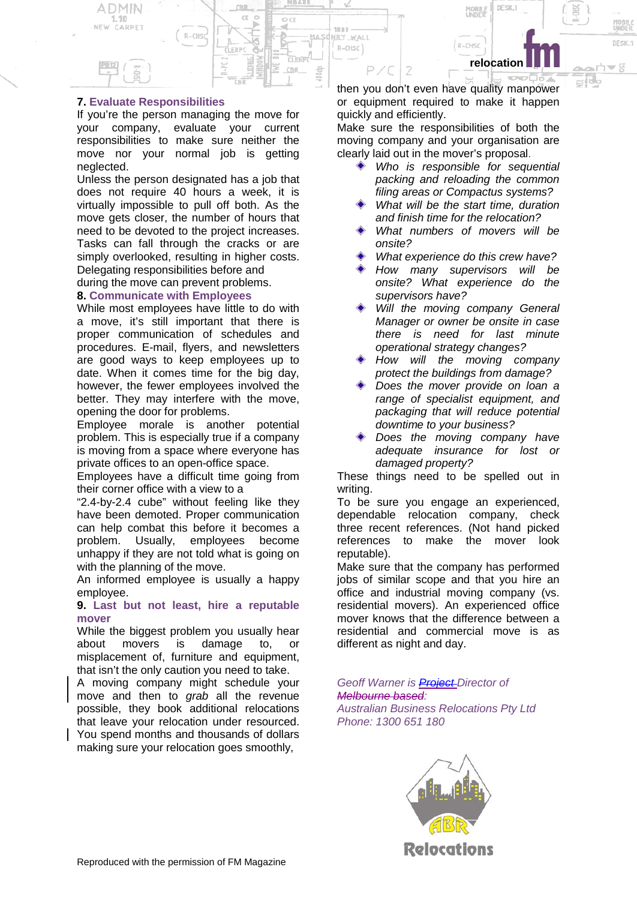**relocation**

**DESIC**:

DE SK.

₩g

s:

## **7. Evaluate Responsibilities**

DMIN

NEW CARPET

If you're the person managing the move for your company, evaluate your current responsibilities to make sure neither the move nor your normal job is getting neglected.

 $R-CHS$ 

Unless the person designated has a job that does not require 40 hours a week, it is virtually impossible to pull off both. As the move gets closer, the number of hours that need to be devoted to the project increases. Tasks can fall through the cracks or are simply overlooked, resulting in higher costs. Delegating responsibilities before and

during the move can prevent problems.

### **8. Communicate with Employees**

While most employees have little to do with a move, it's still important that there is proper communication of schedules and procedures. E-mail, flyers, and newsletters are good ways to keep employees up to date. When it comes time for the big day, however, the fewer employees involved the better. They may interfere with the move, opening the door for problems.

Employee morale is another potential problem. This is especially true if a company is moving from a space where everyone has private offices to an open-office space.

Employees have a difficult time going from their corner office with a view to a

"2.4-by-2.4 cube" without feeling like they have been demoted. Proper communication can help combat this before it becomes a problem. Usually, employees become unhappy if they are not told what is going on with the planning of the move.

An informed employee is usually a happy employee.

#### **9. Last but not least, hire a reputable mover**

While the biggest problem you usually hear about movers is damage to, or misplacement of, furniture and equipment, that isn't the only caution you need to take.

A moving company might schedule your move and then to *grab* all the revenue possible, they book additional relocations that leave your relocation under resourced. You spend months and thousands of dollars making sure your relocation goes smoothly,

then you don't even have quality manpower or equipment required to make it happen quickly and efficiently.

 $R - CHSC$ 

 $18.00$ 

NRY WALL

R-CHSC

MAS

doog

CB1

Make sure the responsibilities of both the moving company and your organisation are clearly laid out in the mover's proposal.

- *Who is responsible for sequential packing and reloading the common filing areas or Compactus systems?*
- *What will be the start time, duration and finish time for the relocation?*
- *What numbers of movers will be onsite?*
- *What experience do this crew have?*
- *How many supervisors will be onsite? What experience do the supervisors have?*
- *Will the moving company General Manager or owner be onsite in case there is need for last minute operational strategy changes?*
- *How will the moving company protect the buildings from damage?*
- *Does the mover provide on loan a range of specialist equipment, and packaging that will reduce potential downtime to your business?*
- *Does the moving company have adequate insurance for lost or damaged property?*

These things need to be spelled out in writing.

To be sure you engage an experienced, dependable relocation company, check three recent references. (Not hand picked references to make the mover look reputable).

Make sure that the company has performed jobs of similar scope and that you hire an office and industrial moving company (vs. residential movers). An experienced office mover knows that the difference between a residential and commercial move is as different as night and day.

*Geoff Warner is Project Director of Melbourne based: Australian Business Relocations Pty Ltd Phone: 1300 651 180*